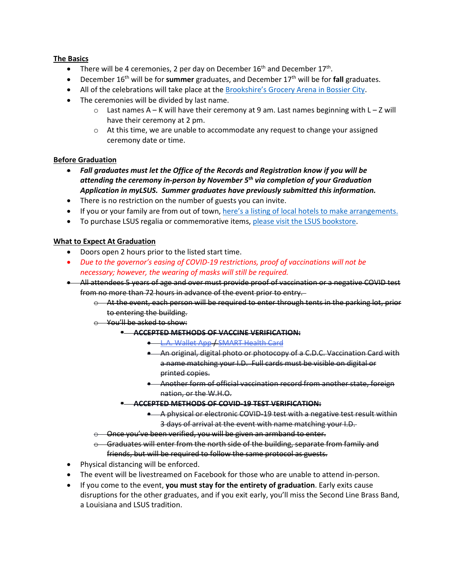## **The Basics**

- There will be 4 ceremonies, 2 per day on December  $16<sup>th</sup>$  and December  $17<sup>th</sup>$ .
- December 16th will be for **summer** graduates, and December 17th will be for **fall** graduates.
- All of the celebrations will take place at th[e Brookshire's Grocery Arena in Bossier City.](https://www.google.com/maps/dir/LSU+Shreveport,+University+Place,+Shreveport,+LA/brookshires+grocery+arena/@32.4471276,-93.7070473,14z/data=!3m1!4b1!4m13!4m12!1m5!1m1!1s0x86312c57d03ed799:0x6ec0a0fc84aaa6ea!2m2!1d-93.7034604!2d32.4284824!1m5!1m1!1s0x86312d1469506e6d:0x74fc6f87c2de5669!2m2!1d-93.6738028!2d32.4654921)
- The ceremonies will be divided by last name.
	- o Last names A K will have their ceremony at 9 am. Last names beginning with L Z will have their ceremony at 2 pm.
	- $\circ$  At this time, we are unable to accommodate any request to change your assigned ceremony date or time.

## **Before Graduation**

- *Fall graduates must let the Office of the Records and Registration know if you will be attending the ceremony in-person by November 5th via completion of your Graduation Application in myLSUS. Summer graduates have previously submitted this information.*
- There is no restriction on the number of guests you can invite.
- If you or your family are from out of town, here's a listing of [local hotels to make arrangements.](https://www.shreveport-bossier.org/hotels/)
- To purchase LSUS regalia or commemorative items, [please visit the LSUS bookstore.](https://lsus.bncollege.com/shop/lsus/home)

## **What to Expect At Graduation**

- Doors open 2 hours prior to the listed start time.
- *Due to the governor's easing of COVID-19 restrictions, proof of vaccinations will not be necessary; however, the wearing of masks will still be required.*
- All attendees 5 years of age and over must provide proof of vaccination or a negative COVID test from no more than 72 hours in advance of the event prior to entry.
	- $\Theta$  At the event, each person will be required to enter through tents in the parking lot, prior to entering the building.
	- o You'll be asked to show:
		- **ACCEPTED METHODS OF VACCINE VERIFICATION:** 
			- [L.A. Wallet App](https://lawallet.com/) / [SMART Health Card](https://smarthealth.cards/)
			- An original, digital photo or photocopy of a C.D.C. Vaccination Card with a name matching your I.D. Full cards must be visible on digital or printed copies.
			- Another form of official vaccination record from another state, foreign nation, or the W.H.O.
			- **ACCEPTED METHODS OF COVID-19 TEST VERIFICATION:**
				- A physical or electronic COVID-19 test with a negative test result within 3 days of arrival at the event with name matching your I.D.
	- $\theta$  Once you've been verified, you will be given an armband to enter.
	- $\Theta$  Graduates will enter from the north side of the building, separate from family and friends, but will be required to follow the same protocol as guests.
- Physical distancing will be enforced.
- The event will be livestreamed on Facebook for those who are unable to attend in-person.
- If you come to the event, **you must stay for the entirety of graduation**. Early exits cause disruptions for the other graduates, and if you exit early, you'll miss the Second Line Brass Band, a Louisiana and LSUS tradition.